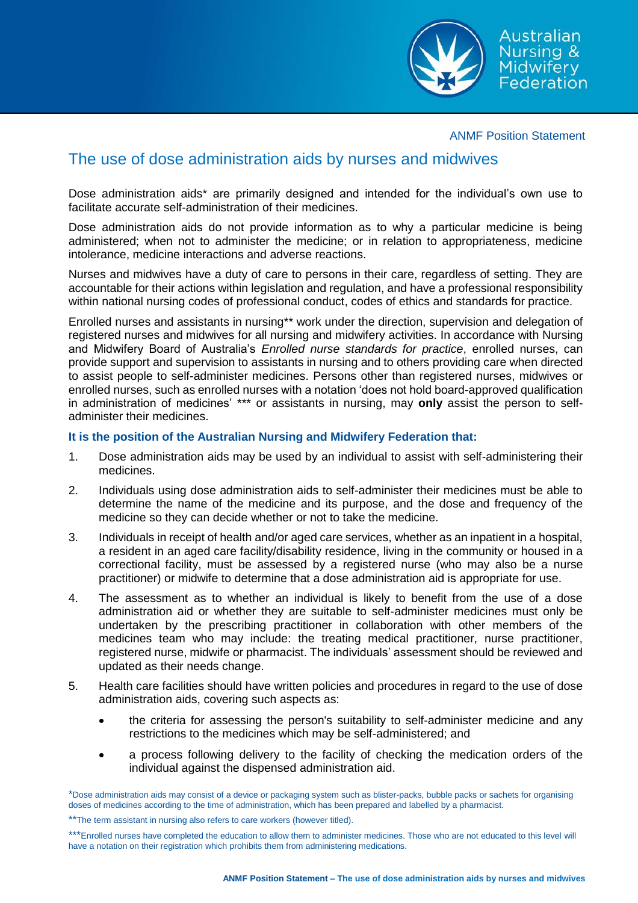Australian Nursing & **Midwifery** Federation

ANMF Position Statement

## The use of dose administration aids by nurses and midwives

Dose administration aids\* are primarily designed and intended for the individual's own use to facilitate accurate self-administration of their medicines.

Dose administration aids do not provide information as to why a particular medicine is being administered; when not to administer the medicine; or in relation to appropriateness, medicine intolerance, medicine interactions and adverse reactions.

Nurses and midwives have a duty of care to persons in their care, regardless of setting. They are accountable for their actions within legislation and regulation, and have a professional responsibility within national nursing codes of professional conduct, codes of ethics and standards for practice.

Enrolled nurses and assistants in nursing\*\* work under the direction, supervision and delegation of registered nurses and midwives for all nursing and midwifery activities. In accordance with Nursing and Midwifery Board of Australia's *Enrolled nurse standards for practice*, enrolled nurses, can provide support and supervision to assistants in nursing and to others providing care when directed to assist people to self-administer medicines. Persons other than registered nurses, midwives or enrolled nurses, such as enrolled nurses with a notation 'does not hold board-approved qualification in administration of medicines' \*\*\* or assistants in nursing, may **only** assist the person to selfadminister their medicines.

## **It is the position of the Australian Nursing and Midwifery Federation that:**

- 1. Dose administration aids may be used by an individual to assist with self-administering their medicines.
- 2. Individuals using dose administration aids to self-administer their medicines must be able to determine the name of the medicine and its purpose, and the dose and frequency of the medicine so they can decide whether or not to take the medicine.
- 3. Individuals in receipt of health and/or aged care services, whether as an inpatient in a hospital, a resident in an aged care facility/disability residence, living in the community or housed in a correctional facility, must be assessed by a registered nurse (who may also be a nurse practitioner) or midwife to determine that a dose administration aid is appropriate for use.
- 4. The assessment as to whether an individual is likely to benefit from the use of a dose administration aid or whether they are suitable to self-administer medicines must only be undertaken by the prescribing practitioner in collaboration with other members of the medicines team who may include: the treating medical practitioner, nurse practitioner, registered nurse, midwife or pharmacist. The individuals' assessment should be reviewed and updated as their needs change.
- 5. Health care facilities should have written policies and procedures in regard to the use of dose administration aids, covering such aspects as:
	- the criteria for assessing the person's suitability to self-administer medicine and any restrictions to the medicines which may be self-administered; and
	- a process following delivery to the facility of checking the medication orders of the individual against the dispensed administration aid.

<sup>\*</sup>Dose administration aids may consist of a device or packaging system such as blister-packs, bubble packs or sachets for organising doses of medicines according to the time of administration, which has been prepared and labelled by a pharmacist.

<sup>\*\*</sup>The term assistant in nursing also refers to care workers (however titled).

<sup>\*\*\*</sup>Enrolled nurses have completed the education to allow them to administer medicines. Those who are not educated to this level will have a notation on their registration which prohibits them from administering medications.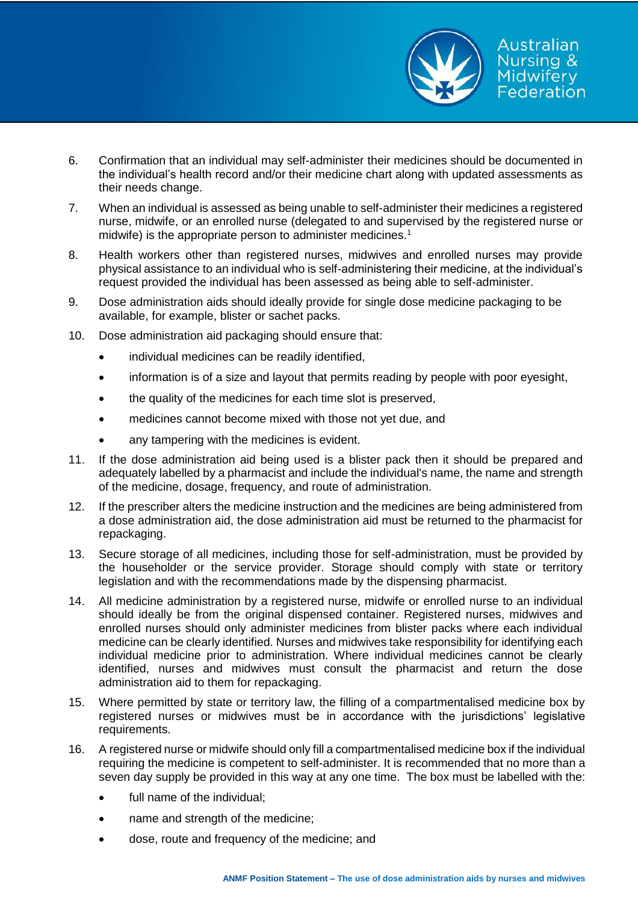

- 6. Confirmation that an individual may self-administer their medicines should be documented in the individual's health record and/or their medicine chart along with updated assessments as their needs change.
- 7. When an individual is assessed as being unable to self-administer their medicines a registered nurse, midwife, or an enrolled nurse (delegated to and supervised by the registered nurse or midwife) is the appropriate person to administer medicines.<sup>1</sup>
- 8. Health workers other than registered nurses, midwives and enrolled nurses may provide physical assistance to an individual who is self-administering their medicine, at the individual's request provided the individual has been assessed as being able to self-administer.
- 9. Dose administration aids should ideally provide for single dose medicine packaging to be available, for example, blister or sachet packs.
- 10. Dose administration aid packaging should ensure that:
	- individual medicines can be readily identified,
	- information is of a size and layout that permits reading by people with poor eyesight,
	- the quality of the medicines for each time slot is preserved,
	- medicines cannot become mixed with those not yet due, and
	- any tampering with the medicines is evident.
- 11. If the dose administration aid being used is a blister pack then it should be prepared and adequately labelled by a pharmacist and include the individual's name, the name and strength of the medicine, dosage, frequency, and route of administration.
- 12. If the prescriber alters the medicine instruction and the medicines are being administered from a dose administration aid, the dose administration aid must be returned to the pharmacist for repackaging.
- 13. Secure storage of all medicines, including those for self-administration, must be provided by the householder or the service provider. Storage should comply with state or territory legislation and with the recommendations made by the dispensing pharmacist.
- 14. All medicine administration by a registered nurse, midwife or enrolled nurse to an individual should ideally be from the original dispensed container. Registered nurses, midwives and enrolled nurses should only administer medicines from blister packs where each individual medicine can be clearly identified. Nurses and midwives take responsibility for identifying each individual medicine prior to administration. Where individual medicines cannot be clearly identified, nurses and midwives must consult the pharmacist and return the dose administration aid to them for repackaging.
- 15. Where permitted by state or territory law, the filling of a compartmentalised medicine box by registered nurses or midwives must be in accordance with the jurisdictions' legislative requirements.
- 16. A registered nurse or midwife should only fill a compartmentalised medicine box if the individual requiring the medicine is competent to self-administer. It is recommended that no more than a seven day supply be provided in this way at any one time. The box must be labelled with the:
	- full name of the individual;
	- name and strength of the medicine;
	- dose, route and frequency of the medicine; and